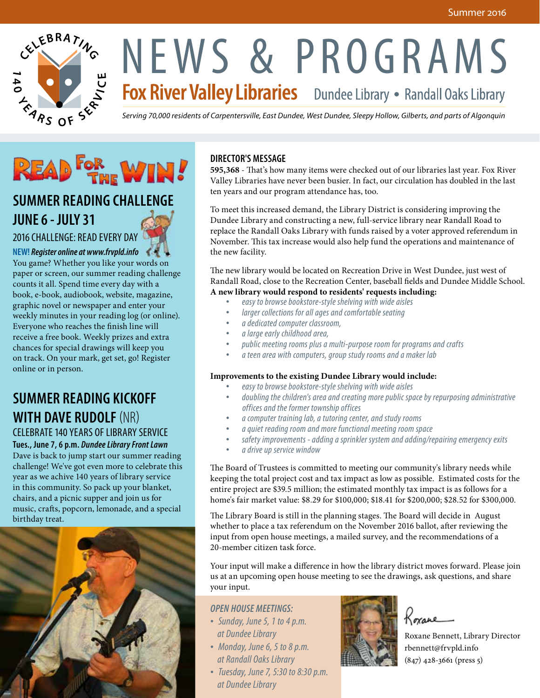

# NEWS & PROGRAMS<br>Fox River Valley Libraries Dundee Library • Randall Oaks Library

*Serving 70,000 residents of Carpentersville, East Dundee, West Dundee, Sleepy Hollow, Gilberts, and parts of Algonquin*



# **SUMMER READING CHALLENGE JUNE 6 - JULY 31**

#### 2016 CHALLENGE: READ EVERY DAY

**NEW!** *Register online at www.frvpld.info* You game? Whether you like your words on paper or screen, our summer reading challenge counts it all. Spend time every day with a book, e-book, audiobook, website, magazine, graphic novel or newspaper and enter your weekly minutes in your reading log (or online). Everyone who reaches the finish line will receive a free book. Weekly prizes and extra chances for special drawings will keep you on track. On your mark, get set, go! Register online or in person.

# **SUMMER READING KICKOFF WITH DAVE RUDOLF**(NR)

### CELEBRATE 140 YEARS OF LIBRARY SERVICE

**Tues., June 7, 6 p.m.** *Dundee Library Front Lawn* Dave is back to jump start our summer reading challenge! We've got even more to celebrate this year as we achive 140 years of library service in this community. So pack up your blanket, chairs, and a picnic supper and join us for music, crafts, popcorn, lemonade, and a special birthday treat.



#### **DIRECTOR'S MESSAGE**

**595,368** - That's how many items were checked out of our libraries last year. Fox River Valley Libraries have never been busier. In fact, our circulation has doubled in the last ten years and our program attendance has, too.

To meet this increased demand, the Library District is considering improving the Dundee Library and constructing a new, full-service library near Randall Road to replace the Randall Oaks Library with funds raised by a voter approved referendum in November. This tax increase would also help fund the operations and maintenance of the new facility.

The new library would be located on Recreation Drive in West Dundee, just west of Randall Road, close to the Recreation Center, baseball fields and Dundee Middle School. **A new library would respond to residents' requests including:**

- *• easy to browse bookstore-style shelving with wide aisles*
- *• larger collections for all ages and comfortable seating*
- *• a dedicated computer classroom,*
- *• a large early childhood area,*
- *• public meeting rooms plus a multi-purpose room for programs and crafts*
- *• a teen area with computers, group study rooms and a maker lab*

#### **Improvements to the existing Dundee Library would include:**

- *• easy to browse bookstore-style shelving with wide aisles*
- *• doubling the children's area and creating more public space by repurposing administrative offices and the former township offices*
- *• a computer training lab, a tutoring center, and study rooms*
- *• a quiet reading room and more functional meeting room space*
- *• safety improvements adding a sprinkler system and adding/repairing emergency exits*
- *• a drive up service window*

The Board of Trustees is committed to meeting our community's library needs while keeping the total project cost and tax impact as low as possible. Estimated costs for the entire project are \$39.5 million; the estimated monthly tax impact is as follows for a home's fair market value: \$8.29 for \$100,000; \$18.41 for \$200,000; \$28.52 for \$300,000.

The Library Board is still in the planning stages. The Board will decide in August whether to place a tax referendum on the November 2016 ballot, after reviewing the input from open house meetings, a mailed survey, and the recommendations of a 20-member citizen task force.

Your input will make a difference in how the library district moves forward. Please join us at an upcoming open house meeting to see the drawings, ask questions, and share your input.

#### *OPEN HOUSE MEETINGS:*

- *• Sunday, June 5, 1 to 4 p.m. at Dundee Library*
- *• Monday, June 6, 5 to 8 p.m. at Randall Oaks Library*
- *• Tuesday, June 7, 5:30 to 8:30 p.m. at Dundee Library*



Roxane

Roxane Bennett, Library Director rbennett@frvpld.info (847) 428-3661 (press 5)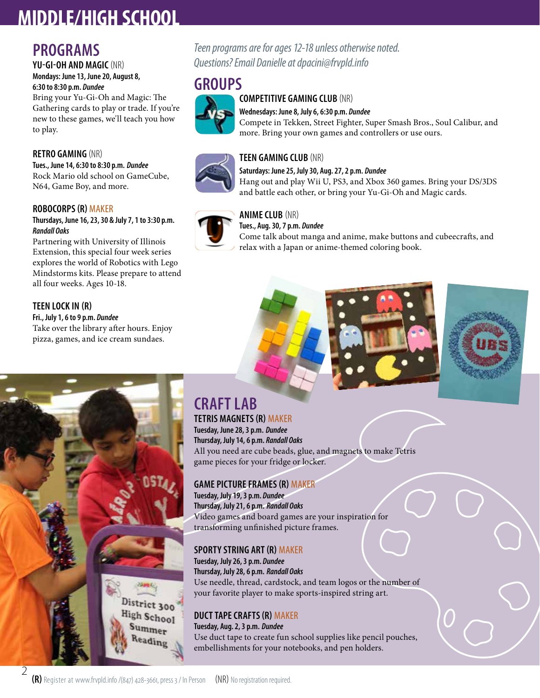# **MIDDLE/HIGH SCHOOL**

## **PROGRAMS**

#### **YU-GI-OH AND MAGIC** (NR) **Mondays: June 13, June 20, August 8, 6:30 to 8:30 p.m.** *Dundee*

Bring your Yu-Gi-Oh and Magic: The Gathering cards to play or trade. If you're new to these games, we'll teach you how to play.

#### **RETRO GAMING** (NR)

**Tues., June 14, 6:30 to 8:30 p.m.** *Dundee* Rock Mario old school on GameCube, N64, Game Boy, and more.

#### **ROBOCORPS (R)** MAKER

#### **Thursdays, June 16, 23, 30 & July 7, 1 to 3:30 p.m.**  *Randall Oaks*

Partnering with University of Illinois Extension, this special four week series explores the world of Robotics with Lego Mindstorms kits. Please prepare to attend all four weeks. Ages 10-18.

#### **TEEN LOCK IN (R)**

**Fri., July 1, 6 to 9 p.m.** *Dundee* Take over the library after hours. Enjoy pizza, games, and ice cream sundaes.

#### *Teen programs are for ages 12-18 unless otherwise noted. Questions? Email Danielle at dpacini@frvpld.info*

## **GROUPS**



#### **COMPETITIVE GAMING CLUB** (NR) **Wednesdays: June 8, July 6, 6:30 p.m.** *Dundee*

Compete in Tekken, Street Fighter, Super Smash Bros., Soul Calibur, and more. Bring your own games and controllers or use ours.

#### **TEEN GAMING CLUB** (NR)

**Saturdays: June 25, July 30, Aug. 27, 2 p.m.** *Dundee* Hang out and play Wii U, PS3, and Xbox 360 games. Bring your DS/3DS and battle each other, or bring your Yu-Gi-Oh and Magic cards.



#### **ANIME CLUB** (NR)

**Tues., Aug. 30, 7 p.m.** *Dundee*

Come talk about manga and anime, make buttons and cubeecrafts, and relax with a Japan or anime-themed coloring book.





# District 300 High School Summer Reading

2

#### **CRAFT LAB TETRIS MAGNETS (R)** MAKER

**Tuesday, June 28, 3 p.m.** *Dundee* **Thursday, July 14, 6 p.m.** *Randall Oaks* All you need are cube beads, glue, and magnets to make Tetris game pieces for your fridge or locker.

#### **GAME PICTURE FRAMES (R)** MAKER

**Tuesday, July 19, 3 p.m.** *Dundee* **Thursday, July 21, 6 p.m.** *Randall Oaks* Video games and board games are your inspiration for transforming unfinished picture frames.

#### **SPORTY STRING ART (R)** MAKER

**Tuesday, July 26, 3 p.m.** *Dundee* **Thursday, July 28, 6 p.m.** *Randall Oaks* Use needle, thread, cardstock, and team logos or the number of your favorite player to make sports-inspired string art.

#### **DUCT TAPE CRAFTS (R)** MAKER

**Tuesday, Aug. 2, 3 p.m.** *Dundee* Use duct tape to create fun school supplies like pencil pouches, embellishments for your notebooks, and pen holders.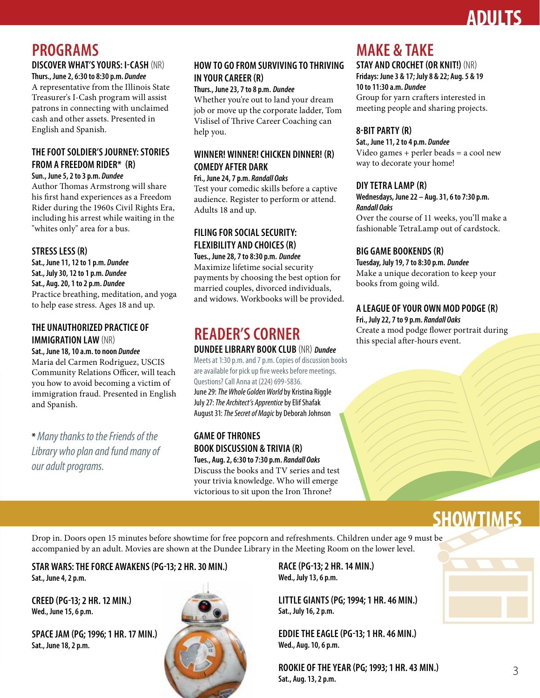# **ADULTS**

# **PROGRAMS**

#### **DISCOVER WHAT'S YOURS: I-CASH** (NR)

**Thurs., June 2, 6:30 to 8:30 p.m.** *Dundee* A representative from the Illinois State Treasurer's I-Cash program will assist patrons in connecting with unclaimed cash and other assets. Presented in English and Spanish.

#### **THE FOOT SOLDIER'S JOURNEY: STORIES FROM A FREEDOM RIDER\* (R)**

**Sun., June 5, 2 to 3 p.m.** *Dundee*

Author Thomas Armstrong will share his first hand experiences as a Freedom Rider during the 1960s Civil Rights Era, including his arrest while waiting in the "whites only" area for a bus.

#### **STRESS LESS (R)**

**Sat., June 11, 12 to 1 p.m.** *Dundee* **Sat., July 30, 12 to 1 p.m.** *Dundee* **Sat., Aug. 20, 1 to 2 p.m.** *Dundee* Practice breathing, meditation, and yoga to help ease stress. Ages 18 and up.

#### **THE UNAUTHORIZED PRACTICE OF IMMIGRATION LAW** (NR)

**Sat., June 18, 10 a.m. to noon** *Dundee* 

Maria del Carmen Rodriguez, USCIS Community Relations Officer, will teach you how to avoid becoming a victim of immigration fraud. Presented in English and Spanish.

**\*** *Many thanks to the Friends of the Library who plan and fund many of our adult programs.*

#### **HOW TO GO FROM SURVIVING TO THRIVING IN YOUR CAREER (R)**

**Thurs., June 23, 7 to 8 p.m.** *Dundee* Whether you're out to land your dream job or move up the corporate ladder, Tom Vislisel of Thrive Career Coaching can help you.

#### **WINNER! WINNER! CHICKEN DINNER! (R) COMEDY AFTER DARK**

**Fri., June 24, 7 p.m.** *Randall Oaks* Test your comedic skills before a captive audience. Register to perform or attend. Adults 18 and up.

#### **FILING FOR SOCIAL SECURITY: FLEXIBILITY AND CHOICES (R)**

**Tues., June 28, 7 to 8:30 p.m.** *Dundee* Maximize lifetime social security payments by choosing the best option for married couples, divorced individuals, and widows. Workbooks will be provided.

# **READER'S CORNER**

#### **DUNDEE LIBRARY BOOK CLUB** (NR) *Dundee*

Meets at 1:30 p.m. and 7 p.m. Copies of discussion books are available for pick up five weeks before meetings. Questions? Call Anna at (224) 699-5836. June 29: *The Whole Golden World* by Kristina Riggle July 27: *The Architect's Apprentice* by Elif Shafak August 31: *The Secret of Magic* by Deborah Johnson

#### **GAME OF THRONES BOOK DISCUSSION & TRIVIA (R) Tues., Aug. 2, 6:30 to 7:30 p.m.** *Randall Oaks*

Discuss the books and TV series and test your trivia knowledge. Who will emerge victorious to sit upon the Iron Throne?

## **MAKE & TAKE**

**STAY AND CROCHET (OR KNIT!)** (NR) **Fridays: June 3 & 17; July 8 & 22; Aug. 5 & 19 10 to 11:30 a.m.** *Dundee* Group for yarn crafters interested in meeting people and sharing projects.

#### **8-BIT PARTY (R)**

**Sat., June 11, 2 to 4 p.m.** *Dundee*

Video games + perler beads = a cool new way to decorate your home!

#### **DIY TETRA LAMP (R)**

#### **Wednesdays, June 22 – Aug. 31, 6 to 7:30 p.m.** *Randall Oaks*

Over the course of 11 weeks, you'll make a fashionable TetraLamp out of cardstock.

#### **BIG GAME BOOKENDS (R)**

**Tuesday, July 19, 7 to 8:30 p.m.** *Dundee* Make a unique decoration to keep your books from going wild.

#### **A LEAGUE OF YOUR OWN MOD PODGE (R)**

#### **Fri., July 22, 7 to 9 p.m.** *Randall Oaks*

Create a mod podge flower portrait during this special after-hours event.

# **SHOWTIMES**

Drop in. Doors open 15 minutes before showtime for free popcorn and refreshments. Children under age 9 must be accompanied by an adult. Movies are shown at the Dundee Library in the Meeting Room on the lower level.

**STAR WARS: THE FORCE AWAKENS (PG-13; 2 HR. 30 MIN.) Sat., June 4, 2 p.m.**

**CREED (PG-13; 2 HR. 12 MIN.) Wed., June 15, 6 p.m.**

**SPACE JAM (PG; 1996; 1 HR. 17 MIN.) Sat., June 18, 2 p.m.**



**RACE (PG-13; 2 HR. 14 MIN.) Wed., July 13, 6 p.m.**

**LITTLE GIANTS (PG; 1994; 1 HR. 46 MIN.) Sat., July 16, 2 p.m.**

**EDDIE THE EAGLE (PG-13; 1 HR. 46 MIN.) Wed., Aug. 10, 6 p.m.**

**ROOKIE OF THE YEAR (PG; 1993; 1 HR. 43 MIN.) Sat., Aug. 13, 2 p.m.**

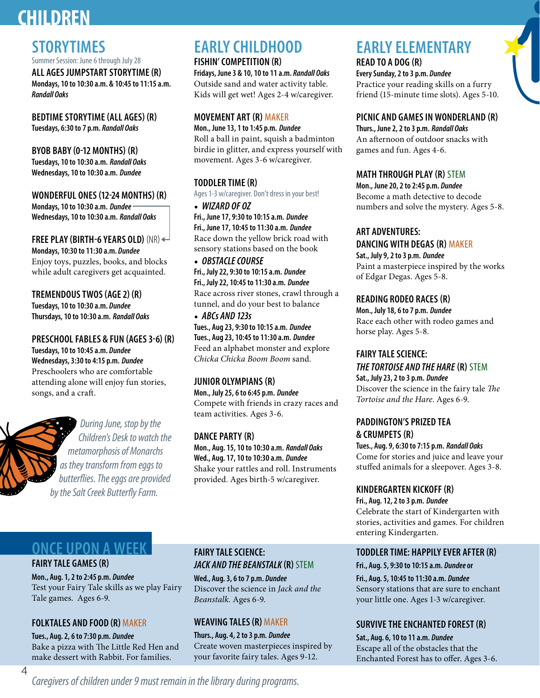# **CHILDREN**

# **STORYTIMES**

Summer Session: June 6 through July 28

**ALL AGES JUMPSTART STORYTIME (R) Mondays, 10 to 10:30 a.m. & 10:45 to 11:15 a.m.**  *Randall Oaks*

**BEDTIME STORYTIME (ALL AGES) (R) Tuesdays, 6:30 to 7 p.m.** *Randall Oaks*

#### **BYOB BABY (0-12 MONTHS) (R) Tuesdays, 10 to 10:30 a.m.** *Randall Oaks* **Wednesdays, 10 to 10:30 a.m.** *Dundee*

**WONDERFUL ONES (12-24 MONTHS) (R) Mondays, 10 to 10:30 a.m.** *Dundee* **Wednesdays, 10 to 10:30 a.m.** *Randall Oaks*

**FREE PLAY (BIRTH-6 YEARS OLD)** (NR) **Mondays, 10:30 to 11:30 a.m.** *Dundee* Enjoy toys, puzzles, books, and blocks while adult caregivers get acquainted.

**TREMENDOUS TWOS (AGE 2) (R) Tuesdays, 10 to 10:30 a.m.** *Dundee* **Thursdays, 10 to 10:30 a.m.** *Randall Oaks*

**PRESCHOOL FABLES & FUN (AGES 3-6) (R) Tuesdays, 10 to 10:45 a.m.** *Dundee* **Wednesdays, 3:30 to 4:15 p.m.** *Dundee* Preschoolers who are comfortable attending alone will enjoy fun stories, songs, and a craft.



*During June, stop by the Children's Desk to watch the metamorphosis of Monarchs as they transform from eggs to butterflies. The eggs are provided by the Salt Creek Butterfly Farm.*

# **EARLY CHILDHOOD**

**FISHIN' COMPETITION (R) Fridays, June 3 & 10, 10 to 11 a.m.** *Randall Oaks* Outside sand and water activity table. Kids will get wet! Ages 2-4 w/caregiver.

#### **MOVEMENT ART (R)** MAKER

**Mon., June 13, 1 to 1:45 p.m.** *Dundee* Roll a ball in paint, squish a badminton birdie in glitter, and express yourself with movement. Ages 3-6 w/caregiver.

#### **TODDLER TIME (R)**

Ages 1-3 w/caregiver. Don't dress in your best!

• *WIZARD OF OZ* **Fri., June 17, 9:30 to 10:15 a.m.** *Dundee* **Fri., June 17, 10:45 to 11:30 a.m.** *Dundee* Race down the yellow brick road with sensory stations based on the book

• *OBSTACLE COURSE* **Fri., July 22, 9:30 to 10:15 a.m.** *Dundee* **Fri., July 22, 10:45 to 11:30 a.m.** *Dundee* Race across river stones, crawl through a tunnel, and do your best to balance • *ABCs AND 123s*

**Tues., Aug 23, 9:30 to 10:15 a.m.** *Dundee* **Tues., Aug 23, 10:45 to 11:30 a.m.** *Dundee* Feed an alphabet monster and explore *Chicka Chicka Boom Boom* sand.

#### **JUNIOR OLYMPIANS (R)**

**Mon., July 25, 6 to 6:45 p.m.** *Dundee* Compete with friends in crazy races and team activities. Ages 3-6.

#### **DANCE PARTY (R)**

**Mon., Aug. 15, 10 to 10:30 a.m.** *Randall Oaks* **Wed., Aug. 17, 10 to 10:30 a.m.** *Dundee* Shake your rattles and roll. Instruments provided. Ages birth-5 w/caregiver.

# **EARLY ELEMENTARY**

**READ TO A DOG (R)**

**Every Sunday, 2 to 3 p.m.** *Dundee* Practice your reading skills on a furry friend (15-minute time slots). Ages 5-10.

#### **PICNIC AND GAMES IN WONDERLAND (R)**

**Thurs., June 2, 2 to 3 p.m.** *Randall Oaks* An afternoon of outdoor snacks with games and fun. Ages 4-6.

#### **MATH THROUGH PLAY (R)** STEM

**Mon., June 20, 2 to 2:45 p.m.** *Dundee* Become a math detective to decode numbers and solve the mystery. Ages 5-8.

#### **ART ADVENTURES:**

**DANCING WITH DEGAS (R)** MAKER

**Sat., July 9, 2 to 3 p.m.** *Dundee* Paint a masterpiece inspired by the works of Edgar Degas. Ages 5-8.

#### **READING RODEO RACES (R)**

**Mon., July 18, 6 to 7 p.m.** *Dundee* Race each other with rodeo games and horse play. Ages 5-8.

#### **FAIRY TALE SCIENCE:**

#### *THE TORTOISE AND THE HARE* **(R)** STEM **Sat., July 23, 2 to 3 p.m.** *Dundee*

Discover the science in the fairy tale *The Tortoise and the Hare*. Ages 6-9.

#### **PADDINGTON'S PRIZED TEA & CRUMPETS (R)**

**Tues., Aug. 9, 6:30 to 7:15 p.m.** *Randall Oaks* Come for stories and juice and leave your stuffed animals for a sleepover. Ages 3-8.

#### **KINDERGARTEN KICKOFF (R)**

**Fri., Aug. 12, 2 to 3 p.m.** *Dundee* Celebrate the start of Kindergarten with stories, activities and games. For children entering Kindergarten.

# **ONCE UPON A WEEK**

#### **FAIRY TALE GAMES (R)**

**Mon., Aug. 1, 2 to 2:45 p.m.** *Dundee* Test your Fairy Tale skills as we play Fairy Tale games. Ages 6-9.

#### **FOLKTALES AND FOOD (R)** MAKER

**Tues., Aug. 2, 6 to 7:30 p.m.** *Dundee* Bake a pizza with The Little Red Hen and make dessert with Rabbit. For families.

#### **FAIRY TALE SCIENCE:** *JACK AND THE BEANSTALK* **(R)** STEM

**Wed., Aug. 3, 6 to 7 p.m.** *Dundee* Discover the science in *Jack and the Beanstalk.* Ages 6-9.

#### **WEAVING TALES (R)** MAKER

**Thurs., Aug. 4, 2 to 3 p.m.** *Dundee* Create woven masterpieces inspired by your favorite fairy tales. Ages 9-12.

#### **TODDLER TIME: HAPPILY EVER AFTER (R)**

**Fri., Aug. 5, 9:30 to 10:15 a.m.** *Dundee* **or**

**Fri., Aug. 5, 10:45 to 11:30 a.m.** *Dundee* Sensory stations that are sure to enchant your little one. Ages 1-3 w/caregiver.

#### **SURVIVE THE ENCHANTED FOREST (R)**

**Sat., Aug. 6, 10 to 11 a.m.** *Dundee* Escape all of the obstacles that the Enchanted Forest has to offer. Ages 3-6.

*Caregivers of children under 9 must remain in the library during programs.*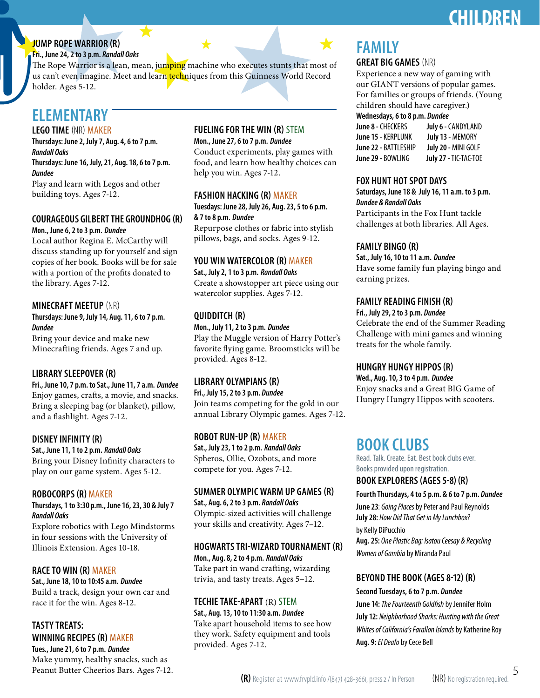# **CHILDREN**

#### **JUMP ROPE WARRIOR (R)**

**Fri., June 24, 2 to 3 p.m.** *Randall Oaks*

The Rope Warrior is a lean, mean, jumping machine who executes stunts that most of us can't even imagine. Meet and learn techniques from this Guinness World Record holder. Ages 5-12.

# **ELEMENTARY**

**LEGO TIME** (NR) MAKER

**Thursdays: June 2, July 7, Aug. 4, 6 to 7 p.m.** *Randall Oaks*

**Thursdays: June 16, July, 21, Aug. 18, 6 to 7 p.m.** *Dundee*

Play and learn with Legos and other building toys. Ages 7-12.

#### **COURAGEOUS GILBERT THE GROUNDHOG (R)**

**Mon., June 6, 2 to 3 p.m.** *Dundee* Local author Regina E. McCarthy will discuss standing up for yourself and sign copies of her book. Books will be for sale with a portion of the profits donated to

the library. Ages 7-12.

#### **MINECRAFT MEETUP** (NR)

**Thursdays: June 9, July 14, Aug. 11, 6 to 7 p.m.** *Dundee*

Bring your device and make new Minecrafting friends. Ages 7 and up.

#### **LIBRARY SLEEPOVER (R)**

**Fri., June 10, 7 p.m. to Sat., June 11, 7 a.m.** *Dundee* Enjoy games, crafts, a movie, and snacks. Bring a sleeping bag (or blanket), pillow, and a flashlight. Ages 7-12.

#### **DISNEY INFINITY (R)**

**Sat., June 11, 1 to 2 p.m.** *Randall Oaks* Bring your Disney Infinity characters to play on our game system. Ages 5-12.

#### **ROBOCORPS (R)** MAKER

**Thursdays, 1 to 3:30 p.m., June 16, 23, 30 & July 7**  *Randall Oaks*

Explore robotics with Lego Mindstorms in four sessions with the University of Illinois Extension. Ages 10-18.

#### **RACE TO WIN (R)** MAKER

**Sat., June 18, 10 to 10:45 a.m.** *Dundee*

Build a track, design your own car and race it for the win. Ages 8-12.

**TASTY TREATS: WINNING RECIPES (R)** MAKER

**Tues., June 21, 6 to 7 p.m.** *Dundee* Make yummy, healthy snacks, such as Peanut Butter Cheerios Bars. Ages 7-12.

#### **FUELING FOR THE WIN (R)** STEM

**Mon., June 27, 6 to 7 p.m.** *Dundee* Conduct experiments, play games with food, and learn how healthy choices can help you win. Ages 7-12.

#### **FASHION HACKING (R)** MAKER

**Tuesdays: June 28, July 26, Aug. 23, 5 to 6 p.m. & 7 to 8 p.m.** *Dundee*

Repurpose clothes or fabric into stylish pillows, bags, and socks. Ages 9-12.

#### **YOU WIN WATERCOLOR (R)** MAKER

**Sat., July 2, 1 to 3 p.m.** *Randall Oaks* Create a showstopper art piece using our watercolor supplies. Ages 7-12.

#### **QUIDDITCH (R)**

**Mon., July 11, 2 to 3 p.m.** *Dundee* Play the Muggle version of Harry Potter's favorite flying game. Broomsticks will be provided. Ages 8-12.

#### **LIBRARY OLYMPIANS (R)**

**Fri., July 15, 2 to 3 p.m.** *Dundee* Join teams competing for the gold in our annual Library Olympic games. Ages 7-12.

#### **ROBOT RUN-UP (R)** MAKER

**Sat., July 23, 1 to 2 p.m.** *Randall Oaks* Spheros, Ollie, Ozobots, and more compete for you. Ages 7-12.

#### **SUMMER OLYMPIC WARM UP GAMES (R)**

**Sat., Aug. 6, 2 to 3 p.m.** *Randall Oaks* Olympic-sized activities will challenge your skills and creativity. Ages 7–12.

#### **HOGWARTS TRI-WIZARD TOURNAMENT (R)**

**Mon., Aug. 8, 2 to 4 p.m.** *Randall Oaks* Take part in wand crafting, wizarding trivia, and tasty treats. Ages 5–12.

#### **TECHIE TAKE-APART** (R) STEM

**Sat., Aug. 13, 10 to 11:30 a.m.** *Dundee* Take apart household items to see how they work. Safety equipment and tools provided. Ages 7-12.

# **FAMILY**

#### **GREAT BIG GAMES** (NR)

Experience a new way of gaming with our GIANT versions of popular games. For families or groups of friends. (Young children should have caregiver.)

#### **Wednesdays, 6 to 8 p.m.** *Dundee*

**June 8 -** CHECKERS **July 6 -** CANDYLAND **June 15 -** KERPLUNK **July 13 -** MEMORY **June 22 -** BATTLESHIP **July 20 -** MINI GOLF **June 29 -** BOWLING **July 27 -** TIC-TAC-TOE

#### **FOX HUNT HOT SPOT DAYS**

**Saturdays, June 18 & July 16, 11 a.m. to 3 p.m.**  *Dundee & Randall Oaks*

Participants in the Fox Hunt tackle challenges at both libraries. All Ages.

#### **FAMILY BINGO (R)**

**Sat., July 16, 10 to 11 a.m.** *Dundee* Have some family fun playing bingo and earning prizes.

#### **FAMILY READING FINISH (R)**

**Fri., July 29, 2 to 3 p.m.** *Dundee* Celebrate the end of the Summer Reading Challenge with mini games and winning treats for the whole family.

#### **HUNGRY HUNGY HIPPOS (R)**

**Wed., Aug. 10, 3 to 4 p.m.** *Dundee* Enjoy snacks and a Great BIG Game of Hungry Hungry Hippos with scooters.

## **BOOK CLUBS**

Read. Talk. Create. Eat. Best book clubs ever. Books provided upon registration.

#### **BOOK EXPLORERS (AGES 5-8) (R)**

**Fourth Thursdays, 4 to 5 p.m. & 6 to 7 p.m.** *Dundee*

**June 23**: *Going Places* by Peter and Paul Reynolds **July 28:** *How Did That Get in My Lunchbox?* by Kelly DiPucchio

**Aug. 25:** *One Plastic Bag: Isatou Ceesay & Recycling Women of Gambia*by Miranda Paul

#### **BEYOND THE BOOK (AGES 8-12) (R)**

**Second Tuesdays, 6 to 7 p.m.** *Dundee* **June 14:** *The Fourteenth Goldfish*by Jennifer Holm

**July 12:** *Neighborhood Sharks: Hunting with the Great Whites of California's Farallon Islands*by Katherine Roy **Aug. 9:***El Deafo*by Cece Bell

5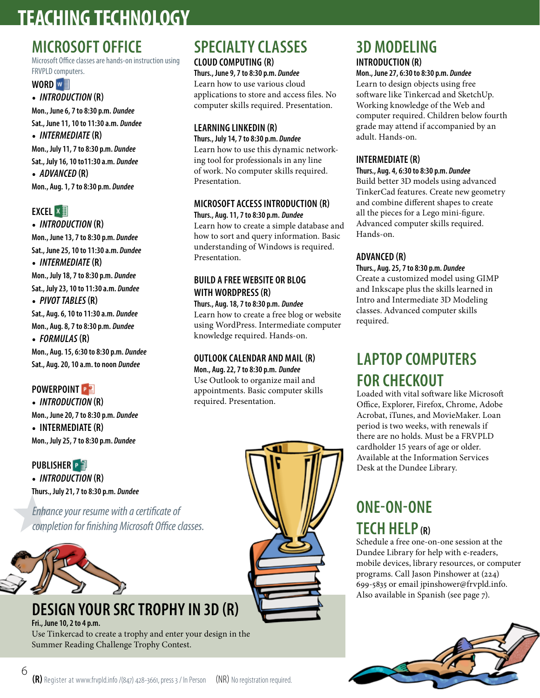# **TEACHING TECHNOLOGY**

# **MICROSOFT OFFICE**

Microsoft Office classes are hands-on instruction using FRVPLD computers.

#### **WORD**

• *INTRODUCTION* **(R) Mon., June 6, 7 to 8:30 p.m.** *Dundee* **Sat., June 11, 10 to 11:30 a.m.** *Dundee* • *INTERMEDIATE* **(R) Mon., July 11, 7 to 8:30 p.m.** *Dundee* **Sat., July 16, 10 to11:30 a.m.** *Dundee* • *ADVANCED* **(R)**

**Mon., Aug. 1, 7 to 8:30 p.m.** *Dundee*

#### **EXCEL** ×

• *INTRODUCTION* **(R) Mon., June 13, 7 to 8:30 p.m.** *Dundee* **Sat., June 25, 10 to 11:30 a.m.** *Dundee* • *INTERMEDIATE* **(R) Mon., July 18, 7 to 8:30 p.m.** *Dundee* **Sat., July 23, 10 to 11:30 a.m.** *Dundee* • *PIVOT TABLES* **(R) Sat., Aug. 6, 10 to 11:30 a.m.** *Dundee* **Mon., Aug. 8, 7 to 8:30 p.m.** *Dundee* • *FORMULAS* **(R) Mon., Aug. 15, 6:30 to 8:30 p.m.** *Dundee* **Sat., Aug. 20, 10 a.m. to noon** *Dundee*

#### **POWERPOINT P**

• *INTRODUCTION* **(R) Mon., June 20, 7 to 8:30 p.m.** *Dundee* • **INTERMEDIATE (R) Mon., July 25, 7 to 8:30 p.m.** *Dundee*

**PUBLISHER**  • *INTRODUCTION* **(R) Thurs., July 21, 7 to 8:30 p.m.** *Dundee*

*Enhance your resume with a certificate of completion for finishing Microsoft Office classes.*



# **DESIGN YOUR SRC TROPHY IN 3D (R)**

**Fri., June 10, 2 to 4 p.m.** Use Tinkercad to create a trophy and enter your design in the Summer Reading Challenge Trophy Contest.

# **SPECIALTY CLASSES**

**CLOUD COMPUTING (R) Thurs., June 9, 7 to 8:30 p.m.** *Dundee* Learn how to use various cloud applications to store and access files. No computer skills required. Presentation.

#### **LEARNING LINKEDIN (R)**

**Thurs., July 14, 7 to 8:30 p.m.** *Dundee* Learn how to use this dynamic networking tool for professionals in any line of work. No computer skills required. Presentation.

#### **MICROSOFT ACCESS INTRODUCTION (R) Thurs., Aug. 11, 7 to 8:30 p.m.** *Dundee*

Learn how to create a simple database and how to sort and query information. Basic understanding of Windows is required. Presentation.

#### **BUILD A FREE WEBSITE OR BLOG WITH WORDPRESS (R)**

**Thurs., Aug. 18, 7 to 8:30 p.m.** *Dundee* Learn how to create a free blog or website using WordPress. Intermediate computer knowledge required. Hands-on.

#### **OUTLOOK CALENDAR AND MAIL (R)**

**Mon., Aug. 22, 7 to 8:30 p.m.** *Dundee* Use Outlook to organize mail and appointments. Basic computer skills required. Presentation.



### **3D MODELING INTRODUCTION (R)**

**Mon., June 27, 6:30 to 8:30 p.m.** *Dundee* Learn to design objects using free software like Tinkercad and SketchUp. Working knowledge of the Web and computer required. Children below fourth grade may attend if accompanied by an adult. Hands-on.

#### **INTERMEDIATE (R)**

#### **Thurs., Aug. 4, 6:30 to 8:30 p.m.** *Dundee*

Build better 3D models using advanced TinkerCad features. Create new geometry and combine different shapes to create all the pieces for a Lego mini-figure. Advanced computer skills required. Hands-on.

#### **ADVANCED (R)**

#### **Thurs., Aug. 25, 7 to 8:30 p.m.** *Dundee*

Create a customized model using GIMP and Inkscape plus the skills learned in Intro and Intermediate 3D Modeling classes. Advanced computer skills required.

# **LAPTOP COMPUTERS FOR CHECKOUT**

Loaded with vital software like Microsoft Office, Explorer, Firefox, Chrome, Adobe Acrobat, iTunes, and MovieMaker. Loan period is two weeks, with renewals if there are no holds. Must be a FRVPLD cardholder 15 years of age or older. Available at the Information Services Desk at the Dundee Library.

# **ONE-ON-ONE TECH HELP (R)**

Schedule a free one-on-one session at the Dundee Library for help with e-readers, mobile devices, library resources, or computer programs. Call Jason Pinshower at (224) 699-5835 or email jpinshower@frvpld.info. Also available in Spanish (see page 7).



6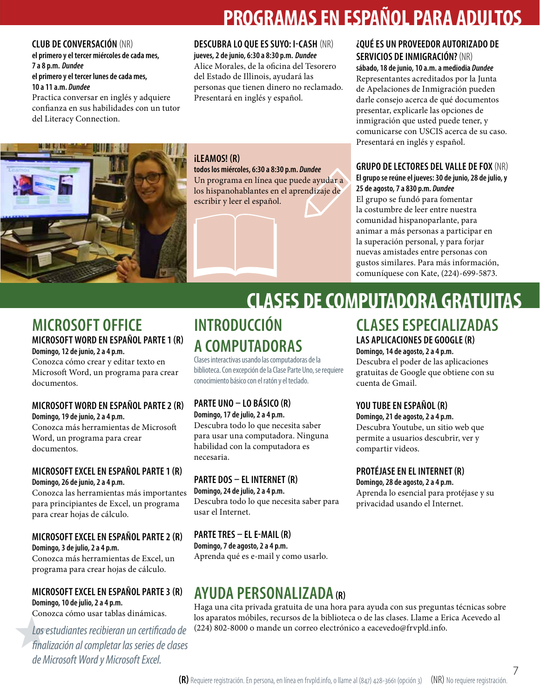# **PROGRAMAS EN ESPAÑOL PARA ADULTOS**

#### **CLUB DE CONVERSACIÓN** (NR)

**el primero y el tercer miércoles de cada mes, 7 a 8 p.m.** *Dundee* **el primero y el tercer lunes de cada mes, 10 a 11 a.m.** *Dundee*

Practica conversar en inglés y adquiere confianza en sus habilidades con un tutor del Literacy Connection.

#### **DESCUBRA LO QUE ES SUYO: I-CASH** (NR) **jueves, 2 de junio, 6:30 a 8:30 p.m.** *Dundee* Alice Morales, de la oficina del Tesorero del Estado de Illinois, ayudará las

personas que tienen dinero no reclamado. Presentará en inglés y español.



#### **¡LEAMOS! (R)**

#### **todos los miércoles, 6:30 a 8:30 p.m.** *Dundee*

Un programa en línea que puede ayudar a los hispanohablantes en el aprendizaje de escribir y leer el español.

#### **¿QUÉ ES UN PROVEEDOR AUTORIZADO DE SERVICIOS DE INMIGRACIÓN?**(NR)

**sábado, 18 de junio, 10 a.m. a mediodia** *Dundee* Representantes acreditados por la Junta de Apelaciones de Inmigración pueden darle consejo acerca de qué documentos presentar, explicarle las opciones de inmigración que usted puede tener, y comunicarse con USCIS acerca de su caso. Presentará en inglés y español.

#### **GRUPO DE LECTORES DEL VALLE DE FOX** (NR) **El grupo se reúne el jueves: 30 de junio, 28 de julio, y 25 de agosto, 7 a 830 p.m.** *Dundee*

El grupo se fundó para fomentar la costumbre de leer entre nuestra comunidad hispanoparlante, para animar a más personas a participar en la superación personal, y para forjar nuevas amistades entre personas con gustos similares. Para más información, comuníquese con Kate, (224)-699-5873.

#### **MICROSOFT OFFICE MICROSOFT WORD EN ESPAÑOL PARTE 1 (R)**

#### **Domingo, 12 de junio, 2 a 4 p.m.**

Conozca cómo crear y editar texto en Microsoft Word, un programa para crear documentos.

#### **MICROSOFT WORD EN ESPAÑOL PARTE 2 (R) Domingo, 19 de junio, 2 a 4 p.m.**

Conozca más herramientas de Microsoft Word, un programa para crear documentos.

#### **MICROSOFT EXCEL EN ESPAÑOL PARTE 1 (R) Domingo, 26 de junio, 2 a 4 p.m.**

Conozca las herramientas más importantes para principiantes de Excel, un programa para crear hojas de cálculo.

#### **MICROSOFT EXCEL EN ESPAÑOL PARTE 2 (R)**

**Domingo, 3 de julio, 2 a 4 p.m.** Conozca más herramientas de Excel, un programa para crear hojas de cálculo.

#### **MICROSOFT EXCEL EN ESPAÑOL PARTE 3 (R) Domingo, 10 de julio, 2 a 4 p.m.**

Conozca cómo usar tablas dinámicas.

*Los estudiantes recibieran un certificado de finalización al completar las series de clases de Microsoft Word y Microsoft Excel.*

# **INTRODUCCIÓN A COMPUTADORAS**

Clases interactivas usando las computadoras de la biblioteca. Con excepción de la Clase Parte Uno, se requiere conocimiento básico con el ratón y el teclado.

## **PARTE UNO – LO BÁSICO (R)**

**Domingo, 17 de julio, 2 a 4 p.m.** Descubra todo lo que necesita saber para usar una computadora. Ninguna habilidad con la computadora es necesaria.

#### **PARTE DOS – EL INTERNET (R)**

**Domingo, 24 de julio, 2 a 4 p.m.** Descubra todo lo que necesita saber para usar el Internet.

#### **PARTE TRES – EL E-MAIL (R) Domingo, 7 de agosto, 2 a 4 p.m.** Aprenda qué es e-mail y como usarlo.

# **AYUDA PERSONALIZADA (R)**

Haga una cita privada gratuita de una hora para ayuda con sus preguntas técnicas sobre los aparatos móbiles, recursos de la biblioteca o de las clases. Llame a Erica Acevedo al (224) 802-8000 o mande un correo electrónico a eacevedo@frvpld.info.

## **CLASES ESPECIALIZADAS LAS APLICACIONES DE GOOGLE (R)**

**Domingo, 14 de agosto, 2 a 4 p.m.**

Descubra el poder de las aplicaciones gratuitas de Google que obtiene con su cuenta de Gmail.

#### **YOU TUBE EN ESPAÑOL (R)**

**CLASES DE COMPUTADORA GRATUITAS**

**Domingo, 21 de agosto, 2 a 4 p.m.** Descubra Youtube, un sitio web que permite a usuarios descubrir, ver y compartir videos.

#### **PROTÉJASE EN EL INTERNET (R)**

**Domingo, 28 de agosto, 2 a 4 p.m.**

Aprenda lo esencial para protéjase y su privacidad usando el Internet.

7